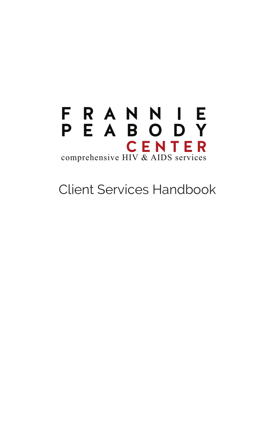

Client Services Handbook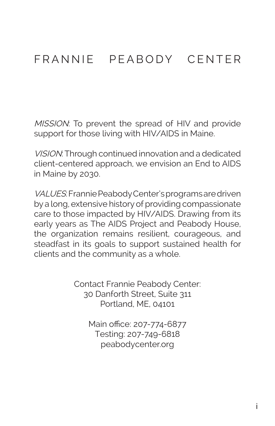## FRANNIE PEABODY CENTER

MISSION: To prevent the spread of HIV and provide support for those living with HIV/AIDS in Maine.

VISION: Through continued innovation and a dedicated client-centered approach, we envision an End to AIDS in Maine by 2030.

VALUES: Frannie Peabody Center's programs are driven by a long, extensive history of providing compassionate care to those impacted by HIV/AIDS. Drawing from its early years as The AIDS Project and Peabody House, the organization remains resilient, courageous, and steadfast in its goals to support sustained health for clients and the community as a whole.

> Contact Frannie Peabody Center: 30 Danforth Street, Suite 311 Portland, ME, 04101

> > Main office: 207-774-6877 Testing: 207-749-6818 peabodycenter.org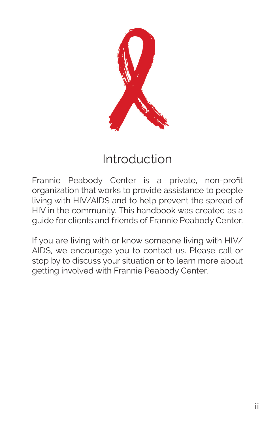

# Introduction

Frannie Peabody Center is a private, non-profit organization that works to provide assistance to people living with HIV/AIDS and to help prevent the spread of HIV in the community. This handbook was created as a guide for clients and friends of Frannie Peabody Center.

If you are living with or know someone living with HIV/ AIDS, we encourage you to contact us. Please call or stop by to discuss your situation or to learn more about getting involved with Frannie Peabody Center.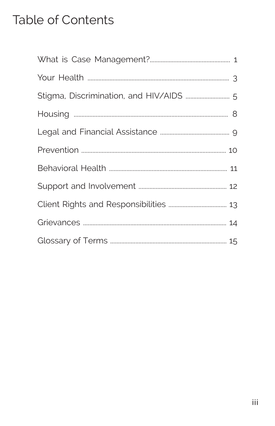## Table of Contents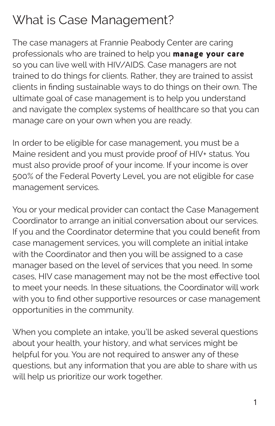# What is Case Management?

The case managers at Frannie Peabody Center are caring professionals who are trained to help you manage your care so you can live well with HIV/AIDS. Case managers are not trained to do things for clients. Rather, they are trained to assist clients in finding sustainable ways to do things on their own. The ultimate goal of case management is to help you understand and navigate the complex systems of healthcare so that you can manage care on your own when you are ready.

In order to be eligible for case management, you must be a Maine resident and you must provide proof of HIV+ status. You must also provide proof of your income. If your income is over 500% of the Federal Poverty Level, you are not eligible for case management services.

You or your medical provider can contact the Case Management Coordinator to arrange an initial conversation about our services. If you and the Coordinator determine that you could benefit from case management services, you will complete an initial intake with the Coordinator and then you will be assigned to a case manager based on the level of services that you need. In some cases, HIV case management may not be the most effective tool to meet your needs. In these situations, the Coordinator will work with you to find other supportive resources or case management opportunities in the community.

When you complete an intake, you'll be asked several questions about your health, your history, and what services might be helpful for you. You are not required to answer any of these questions, but any information that you are able to share with us will help us prioritize our work together.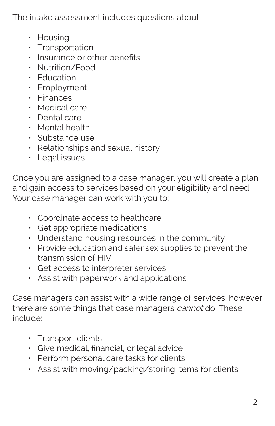The intake assessment includes questions about:

- Housing
- Transportation
- Insurance or other benefits
- Nutrition/Food
- Education
- Employment
- Finances
- Medical care
- Dental care
- Mental health
- Substance use
- Relationships and sexual history
- Legal issues

Once you are assigned to a case manager, you will create a plan and gain access to services based on your eligibility and need. Your case manager can work with you to:

- Coordinate access to healthcare
- Get appropriate medications
- Understand housing resources in the community
- Provide education and safer sex supplies to prevent the transmission of HIV
- Get access to interpreter services
- Assist with paperwork and applications

Case managers can assist with a wide range of services, however there are some things that case managers *cannot* do. These include:

- Transport clients
- Give medical, financial, or legal advice
- Perform personal care tasks for clients
- Assist with moving/packing/storing items for clients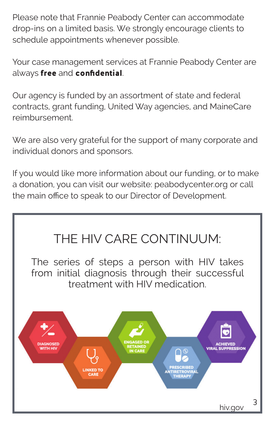Please note that Frannie Peabody Center can accommodate drop-ins on a limited basis. We strongly encourage clients to schedule appointments whenever possible.

Your case management services at Frannie Peabody Center are always free and confidential.

Our agency is funded by an assortment of state and federal contracts, grant funding, United Way agencies, and MaineCare reimbursement.

We are also very grateful for the support of many corporate and individual donors and sponsors.

If you would like more information about our funding, or to make a donation, you can visit our website: peabodycenter.org or call the main office to speak to our Director of Development.

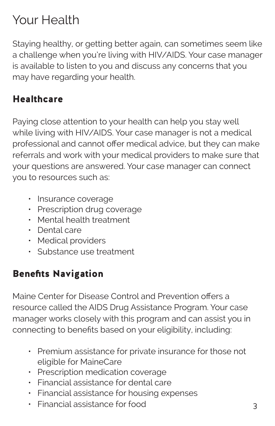# Your Health

Staying healthy, or getting better again, can sometimes seem like a challenge when you're living with HIV/AIDS. Your case manager is available to listen to you and discuss any concerns that you may have regarding your health.

### **Healthcare**

Paying close attention to your health can help you stay well while living with HIV/AIDS. Your case manager is not a medical professional and cannot offer medical advice, but they can make referrals and work with your medical providers to make sure that your questions are answered. Your case manager can connect you to resources such as:

- Insurance coverage
- Prescription drug coverage
- Mental health treatment
- Dental care
- Medical providers
- Substance use treatment

### Benefits Navigation

Maine Center for Disease Control and Prevention offers a resource called the AIDS Drug Assistance Program. Your case manager works closely with this program and can assist you in connecting to benefits based on your eligibility, including:

- Premium assistance for private insurance for those not eligible for MaineCare
- Prescription medication coverage
- Financial assistance for dental care
- Financial assistance for housing expenses
- Financial assistance for food 3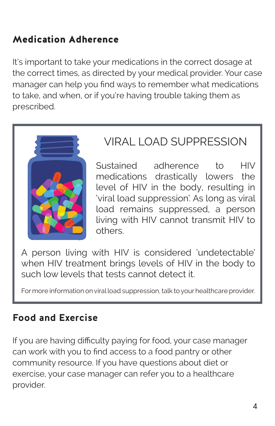### Medication Adherence

It's important to take your medications in the correct dosage at the correct times, as directed by your medical provider. Your case manager can help you find ways to remember what medications to take, and when, or if you're having trouble taking them as prescribed.



## VIRAL LOAD SUPPRESSION

Sustained adherence to HIV medications drastically lowers the level of HIV in the body, resulting in 'viral load suppression'. As long as viral load remains suppressed, a person living with HIV cannot transmit HIV to others.

A person living with HIV is considered 'undetectable' when HIV treatment brings levels of HIV in the body to such low levels that tests cannot detect it.

For more information on viral load suppression, talk to your healthcare provider.

### **Food and Exercise**

If you are having difficulty paying for food, your case manager can work with you to find access to a food pantry or other community resource. If you have questions about diet or exercise, your case manager can refer you to a healthcare provider.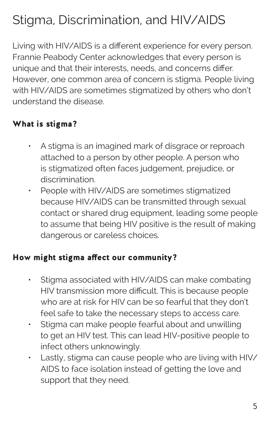# Stigma, Discrimination, and HIV/AIDS

Living with HIV/AIDS is a different experience for every person. Frannie Peabody Center acknowledges that every person is unique and that their interests, needs, and concerns differ. However, one common area of concern is stigma. People living with HIV/AIDS are sometimes stigmatized by others who don't understand the disease.

### What is stigma?

- A stigma is an imagined mark of disgrace or reproach attached to a person by other people. A person who is stigmatized often faces judgement, prejudice, or discrimination.
- People with HIV/AIDS are sometimes stigmatized because HIV/AIDS can be transmitted through sexual contact or shared drug equipment, leading some people to assume that being HIV positive is the result of making dangerous or careless choices.

#### How might stigma affect our community?

- Stigma associated with HIV/AIDS can make combating HIV transmission more difficult. This is because people who are at risk for HIV can be so fearful that they don't feel safe to take the necessary steps to access care.
- Stigma can make people fearful about and unwilling to get an HIV test. This can lead HIV-positive people to infect others unknowingly.
- Lastly, stigma can cause people who are living with HIV/ AIDS to face isolation instead of getting the love and support that they need.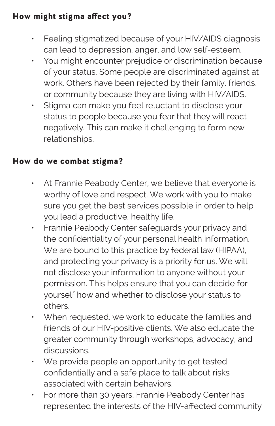#### How might stigma affect you?

- Feeling stigmatized because of your HIV/AIDS diagnosis can lead to depression, anger, and low self-esteem.
- You might encounter prejudice or discrimination because of your status. Some people are discriminated against at work. Others have been rejected by their family, friends, or community because they are living with HIV/AIDS.
- Stigma can make you feel reluctant to disclose your status to people because you fear that they will react negatively. This can make it challenging to form new relationships.

#### How do we combat stigma?

- At Frannie Peabody Center, we believe that everyone is worthy of love and respect. We work with you to make sure you get the best services possible in order to help you lead a productive, healthy life.
- Frannie Peabody Center safeguards your privacy and the confidentiality of your personal health information. We are bound to this practice by federal law (HIPAA), and protecting your privacy is a priority for us. We will not disclose your information to anyone without your permission. This helps ensure that you can decide for yourself how and whether to disclose your status to others.
- When requested, we work to educate the families and friends of our HIV-positive clients. We also educate the greater community through workshops, advocacy, and discussions.
- We provide people an opportunity to get tested confidentially and a safe place to talk about risks associated with certain behaviors.
- For more than 30 years, Frannie Peabody Center has represented the interests of the HIV-affected community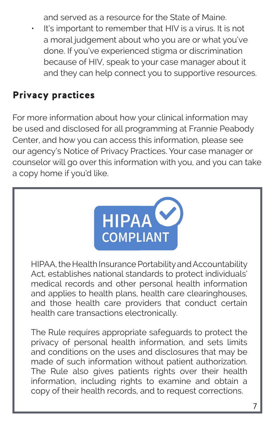and served as a resource for the State of Maine.

It's important to remember that HIV is a virus. It is not a moral judgement about who you are or what you've done. If you've experienced stigma or discrimination because of HIV, speak to your case manager about it and they can help connect you to supportive resources.

### Privacy practices

For more information about how your clinical information may be used and disclosed for all programming at Frannie Peabody Center, and how you can access this information, please see our agency's Notice of Privacy Practices. Your case manager or counselor will go over this information with you, and you can take a copy home if you'd like.



HIPAA, the Health Insurance Portability and Accountability Act, establishes national standards to protect individuals' medical records and other personal health information and applies to health plans, health care clearinghouses, and those health care providers that conduct certain health care transactions electronically.

The Rule requires appropriate safeguards to protect the privacy of personal health information, and sets limits and conditions on the uses and disclosures that may be made of such information without patient authorization. The Rule also gives patients rights over their health information, including rights to examine and obtain a copy of their health records, and to request corrections.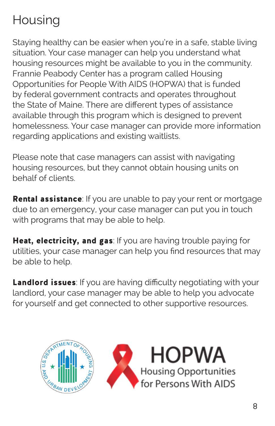# **Housing**

Staying healthy can be easier when you're in a safe, stable living situation. Your case manager can help you understand what housing resources might be available to you in the community. Frannie Peabody Center has a program called Housing Opportunities for People With AIDS (HOPWA) that is funded by federal government contracts and operates throughout the State of Maine. There are different types of assistance available through this program which is designed to prevent homelessness. Your case manager can provide more information regarding applications and existing waitlists.

Please note that case managers can assist with navigating housing resources, but they cannot obtain housing units on behalf of clients.

Rental assistance: If you are unable to pay your rent or mortgage due to an emergency, your case manager can put you in touch with programs that may be able to help.

Heat, electricity, and gas: If you are having trouble paying for utilities, your case manager can help you find resources that may be able to help.

Landlord issues: If you are having difficulty negotiating with your landlord, your case manager may be able to help you advocate for yourself and get connected to other supportive resources.

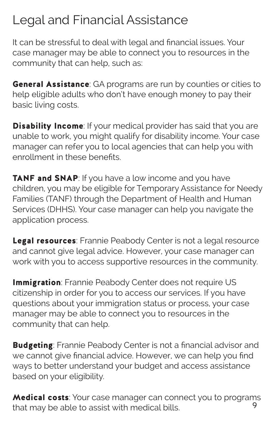## Legal and Financial Assistance

It can be stressful to deal with legal and financial issues. Your case manager may be able to connect you to resources in the community that can help, such as:

**General Assistance**: GA programs are run by counties or cities to help eligible adults who don't have enough money to pay their basic living costs.

**Disability Income**: If your medical provider has said that you are unable to work, you might qualify for disability income. Your case manager can refer you to local agencies that can help you with enrollment in these benefits.

**TANF and SNAP**: If you have a low income and you have children, you may be eligible for Temporary Assistance for Needy Families (TANF) through the Department of Health and Human Services (DHHS). Your case manager can help you navigate the application process.

Legal resources: Frannie Peabody Center is not a legal resource and cannot give legal advice. However, your case manager can work with you to access supportive resources in the community.

**Immigration**: Frannie Peabody Center does not require US citizenship in order for you to access our services. If you have questions about your immigration status or process, your case manager may be able to connect you to resources in the community that can help.

**Budgeting:** Frannie Peabody Center is not a financial advisor and we cannot give financial advice. However, we can help you find ways to better understand your budget and access assistance based on your eligibility.

**Medical costs**: Your case manager can connect you to programs<br>that may be able to assist with maglical bills that may be able to assist with medical bills.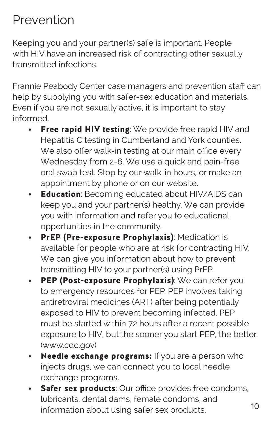## Prevention

Keeping you and your partner(s) safe is important. People with HIV have an increased risk of contracting other sexually transmitted infections.

Frannie Peabody Center case managers and prevention staff can help by supplying you with safer-sex education and materials. Even if you are not sexually active, it is important to stay informed.

- Free rapid HIV testing: We provide free rapid HIV and Hepatitis C testing in Cumberland and York counties. We also offer walk-in testing at our main office every Wednesday from 2-6. We use a quick and pain-free oral swab test. Stop by our walk-in hours, or make an appointment by phone or on our website.
- **Education**: Becoming educated about HIV/AIDS can keep you and your partner(s) healthy. We can provide you with information and refer you to educational opportunities in the community.
- PrEP (Pre-exposure Prophylaxis): Medication is available for people who are at risk for contracting HIV. We can give you information about how to prevent transmitting HIV to your partner(s) using PrEP.
- PEP (Post-exposure Prophylaxis): We can refer you to emergency resources for PEP. PEP involves taking antiretroviral medicines (ART) after being potentially exposed to HIV to prevent becoming infected. PEP must be started within 72 hours after a recent possible exposure to HIV, but the sooner you start PEP, the better. (www.cdc.gov)
- Needle exchange programs: If you are a person who injects drugs, we can connect you to local needle exchange programs.
- Safer sex products: Our office provides free condoms, lubricants, dental dams, female condoms, and information about using safer sex products. 10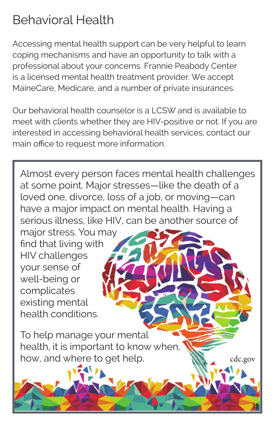# Behavioral Health

Accessing mental health support can be very helpful to learn coping mechanisms and have an opportunity to talk with a professional about your concerns. Frannie Peabody Center is a licensed mental health treatment provider. We accept MaineCare, Medicare, and a number of private insurances.

Our behavioral health counselor is a LCSW and is available to meet with clients whether they are HIV-positive or not. If you are interested in accessing behavioral health services, contact our main office to request more information.

Almost every person faces mental health challenges at some point. Major stresses—like the death of a loved one, divorce, loss of a job, or moving—can have a major impact on mental health. Having a serious illness, like HIV, can be another source of

major stress. You may find that living with HIV challenges your sense of well-being or complicates existing mental health conditions.

To help manage your mental health, it is important to know when, how, and where to get help.  $\mathbb{N}$   $_{\cdots}$  cdc.gov

11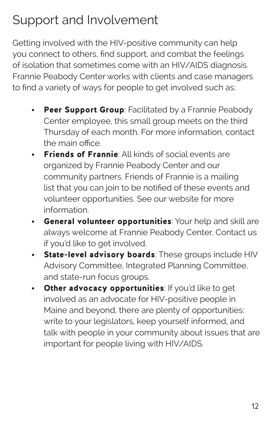# Support and Involvement

Getting involved with the HIV-positive community can help you connect to others, find support, and combat the feelings of isolation that sometimes come with an HIV/AIDS diagnosis. Frannie Peabody Center works with clients and case managers to find a variety of ways for people to get involved such as:

- Peer Support Group: Facilitated by a Frannie Peabody Center employee, this small group meets on the third Thursday of each month. For more information, contact the main office.
- **Friends of Frannie:** All kinds of social events are organized by Frannie Peabody Center and our community partners. Friends of Frannie is a mailing list that you can join to be notified of these events and volunteer opportunities. See our website for more information.
- General volunteer opportunities: Your help and skill are always welcome at Frannie Peabody Center. Contact us if you'd like to get involved.
- State-level advisory boards: These groups include HIV Advisory Committee, Integrated Planning Committee, and state-run focus groups.
- Other advocacy opportunities: If you'd like to get involved as an advocate for HIV-positive people in Maine and beyond, there are plenty of opportunities: write to your legislators, keep yourself informed, and talk with people in your community about issues that are important for people living with HIV/AIDS.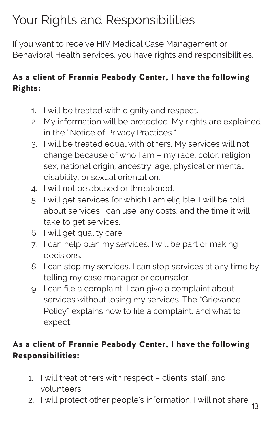# Your Rights and Responsibilities

If you want to receive HIV Medical Case Management or Behavioral Health services, you have rights and responsibilities.

### As a client of Frannie Peabody Center, I have the following Rights:

- 1. I will be treated with dignity and respect.
- 2. My information will be protected. My rights are explained in the "Notice of Privacy Practices."
- 3. I will be treated equal with others. My services will not change because of who I am – my race, color, religion, sex, national origin, ancestry, age, physical or mental disability, or sexual orientation.
- 4. I will not be abused or threatened.
- 5. I will get services for which I am eligible. I will be told about services I can use, any costs, and the time it will take to get services.
- 6. I will get quality care.
- 7. I can help plan my services. I will be part of making decisions.
- 8. I can stop my services. I can stop services at any time by telling my case manager or counselor.
- 9. I can file a complaint. I can give a complaint about services without losing my services. The "Grievance Policy" explains how to file a complaint, and what to expect.

### As a client of Frannie Peabody Center, I have the following Responsibilities:

- 1. I will treat others with respect clients, staff, and volunteers.
- 2. I will protect other people's information. I will not share 13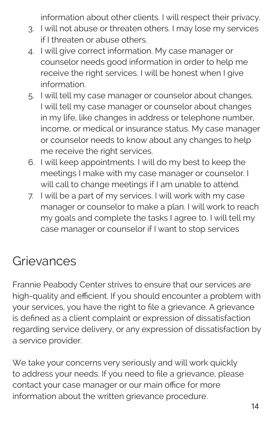information about other clients. I will respect their privacy.

- 3. I will not abuse or threaten others. I may lose my services if I threaten or abuse others.
- 4. I will give correct information. My case manager or counselor needs good information in order to help me receive the right services. I will be honest when I give information.
- 5. I will tell my case manager or counselor about changes. I will tell my case manager or counselor about changes in my life, like changes in address or telephone number, income, or medical or insurance status. My case manager or counselor needs to know about any changes to help me receive the right services.
- 6. I will keep appointments. I will do my best to keep the meetings I make with my case manager or counselor. I will call to change meetings if I am unable to attend.
- 7. I will be a part of my services. I will work with my case manager or counselor to make a plan. I will work to reach my goals and complete the tasks I agree to. I will tell my case manager or counselor if I want to stop services

## **Grievances**

Frannie Peabody Center strives to ensure that our services are high-quality and efficient. If you should encounter a problem with your services, you have the right to file a grievance. A grievance is defined as a client complaint or expression of dissatisfaction regarding service delivery, or any expression of dissatisfaction by a service provider.

We take your concerns very seriously and will work quickly to address your needs. If you need to file a grievance, please contact your case manager or our main office for more information about the written grievance procedure.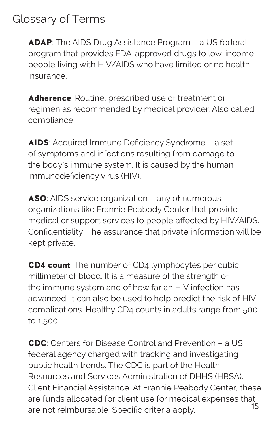## Glossary of Terms

ADAP: The AIDS Drug Assistance Program - a US federal program that provides FDA-approved drugs to low-income people living with HIV/AIDS who have limited or no health insurance.

Adherence: Routine, prescribed use of treatment or regimen as recommended by medical provider. Also called compliance.

AIDS: Acquired Immune Deficiency Syndrome – a set of symptoms and infections resulting from damage to the body's immune system. It is caused by the human immunodeficiency virus (HIV).

ASO: AIDS service organization – any of numerous organizations like Frannie Peabody Center that provide medical or support services to people affected by HIV/AIDS. Confidentiality: The assurance that private information will be kept private.

**CD4 count:** The number of CD4 lymphocytes per cubic millimeter of blood. It is a measure of the strength of the immune system and of how far an HIV infection has advanced. It can also be used to help predict the risk of HIV complications. Healthy CD4 counts in adults range from 500 to 1,500.

CDC: Centers for Disease Control and Prevention – a US federal agency charged with tracking and investigating public health trends. The CDC is part of the Health Resources and Services Administration of DHHS (HRSA). Client Financial Assistance: At Frannie Peabody Center, these are funds allocated for client use for medical expenses that<br>15 are not reimbursable. Specific criteria apply.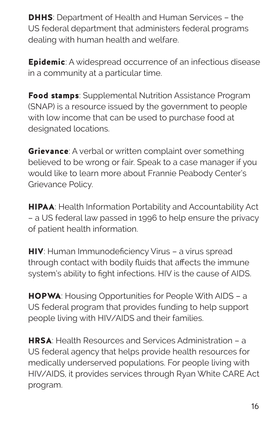**DHHS:** Department of Health and Human Services - the US federal department that administers federal programs dealing with human health and welfare.

**Epidemic:** A widespread occurrence of an infectious disease in a community at a particular time.

Food stamps: Supplemental Nutrition Assistance Program (SNAP) is a resource issued by the government to people with low income that can be used to purchase food at designated locations.

**Grievance:** A verbal or written complaint over something believed to be wrong or fair. Speak to a case manager if you would like to learn more about Frannie Peabody Center's Grievance Policy.

**HIPAA:** Health Information Portability and Accountability Act – a US federal law passed in 1996 to help ensure the privacy of patient health information.

**HIV:** Human Immunodeficiency Virus - a virus spread through contact with bodily fluids that affects the immune system's ability to fight infections. HIV is the cause of AIDS.

**HOPWA:** Housing Opportunities for People With AIDS - a US federal program that provides funding to help support people living with HIV/AIDS and their families.

HRSA: Health Resources and Services Administration – a US federal agency that helps provide health resources for medically underserved populations. For people living with HIV/AIDS, it provides services through Ryan White CARE Act program.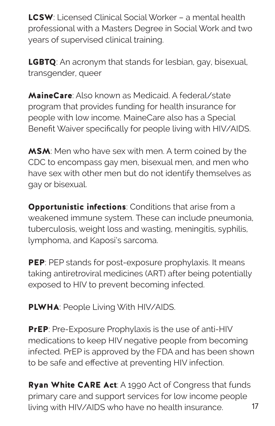LCSW: Licensed Clinical Social Worker – a mental health professional with a Masters Degree in Social Work and two years of supervised clinical training.

**LGBTQ**: An acronym that stands for lesbian, gay, bisexual, transgender, queer

MaineCare: Also known as Medicaid. A federal/state. program that provides funding for health insurance for people with low income. MaineCare also has a Special Benefit Waiver specifically for people living with HIV/AIDS.

MSM: Men who have sex with men. A term coined by the CDC to encompass gay men, bisexual men, and men who have sex with other men but do not identify themselves as gay or bisexual.

**Opportunistic infections: Conditions that arise from a** weakened immune system. These can include pneumonia, tuberculosis, weight loss and wasting, meningitis, syphilis, lymphoma, and Kaposi's sarcoma.

PEP: PEP stands for post-exposure prophylaxis. It means taking antiretroviral medicines (ART) after being potentially exposed to HIV to prevent becoming infected.

**PLWHA: People Living With HIV/AIDS.** 

**PrEP:** Pre-Exposure Prophylaxis is the use of anti-HIV medications to keep HIV negative people from becoming infected. PrEP is approved by the FDA and has been shown to be safe and effective at preventing HIV infection.

Ryan White CARE Act: A 1990 Act of Congress that funds primary care and support services for low income people living with HIV/AIDS who have no health insurance. 17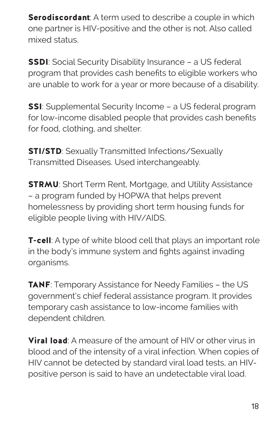**Serodiscordant**: A term used to describe a couple in which one partner is HIV-positive and the other is not. Also called mixed status.

**SSDI:** Social Security Disability Insurance - a US federal program that provides cash benefits to eligible workers who are unable to work for a year or more because of a disability.

**SSI**: Supplemental Security Income – a US federal program for low-income disabled people that provides cash benefits for food, clothing, and shelter.

**STI/STD:** Sexually Transmitted Infections/Sexually Transmitted Diseases. Used interchangeably.

**STRMU:** Short Term Rent, Mortgage, and Utility Assistance – a program funded by HOPWA that helps prevent homelessness by providing short term housing funds for eligible people living with HIV/AIDS.

**T-cell**: A type of white blood cell that plays an important role in the body's immune system and fights against invading organisms.

**TANF:** Temporary Assistance for Needy Families - the US government's chief federal assistance program. It provides temporary cash assistance to low-income families with dependent children.

**Viral load**: A measure of the amount of HIV or other virus in blood and of the intensity of a viral infection. When copies of HIV cannot be detected by standard viral load tests, an HIVpositive person is said to have an undetectable viral load.